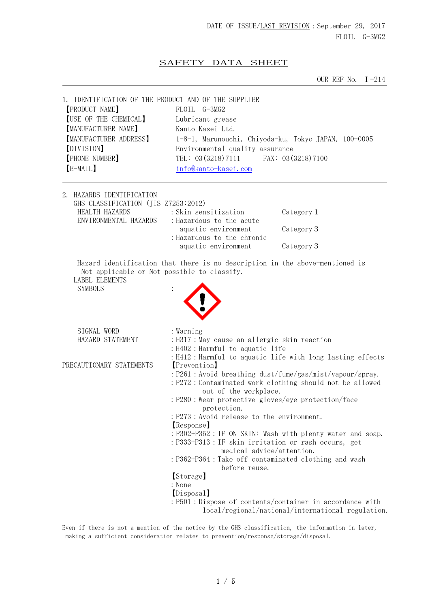## SAFETY DATA SHEET

OUR REF No. Ⅰ-214

| 1. IDENTIFICATION OF THE PRODUCT AND OF THE SUPPLIER<br>[PRODUCT NAME]<br>[USE OF THE CHEMICAL]<br>[MANUFACTURER NAME]<br>[MANUFACTURER ADDRESS]<br>[DIVISION]<br><b>[PHONE NUMBER]</b><br>[E-MAIL] | FLOIL G-3MG2<br>Lubricant grease<br>Kanto Kasei Ltd.<br>1-8-1, Marunouchi, Chiyoda-ku, Tokyo JAPAN, 100-0005<br>Environmental quality assurance<br>TEL: $03(3218)7111$<br>info@kanto-kasei.com                                                                                                                                                                                                                                                                                                                                                                                                                                 | FAX: 03 (3218) 7100                               |
|-----------------------------------------------------------------------------------------------------------------------------------------------------------------------------------------------------|--------------------------------------------------------------------------------------------------------------------------------------------------------------------------------------------------------------------------------------------------------------------------------------------------------------------------------------------------------------------------------------------------------------------------------------------------------------------------------------------------------------------------------------------------------------------------------------------------------------------------------|---------------------------------------------------|
| 2. HAZARDS IDENTIFICATION<br>GHS CLASSIFICATION (JIS Z7253:2012)<br>HEALTH HAZARDS<br>ENVIRONMENTAL HAZARDS                                                                                         | : Skin sensitization<br>: Hazardous to the acute<br>aquatic environment<br>: Hazardous to the chronic<br>aquatic environment                                                                                                                                                                                                                                                                                                                                                                                                                                                                                                   | Category 1<br>Category 3<br>Category 3            |
| Not applicable or Not possible to classify.<br><b>LABEL ELEMENTS</b><br><b>SYMBOLS</b>                                                                                                              | Hazard identification that there is no description in the above-mentioned is                                                                                                                                                                                                                                                                                                                                                                                                                                                                                                                                                   |                                                   |
| SIGNAL WORD<br>HAZARD STATEMENT                                                                                                                                                                     | : Warning<br>: H317 : May cause an allergic skin reaction<br>: H402 : Harmful to aquatic life<br>: H412 : Harmful to aquatic life with long lasting effects                                                                                                                                                                                                                                                                                                                                                                                                                                                                    |                                                   |
| PRECAUTIONARY STATEMENTS                                                                                                                                                                            | [Prevention]<br>: P261 : Avoid breathing dust/fume/gas/mist/vapour/spray.<br>: P272 : Contaminated work clothing should not be allowed<br>out of the workplace.<br>: P280 : Wear protective gloves/eye protection/face<br>protection.<br>: P273 : Avoid release to the environment.<br>Response<br>: P302+P352 : IF ON SKIN: Wash with plenty water and soap.<br>: P333+P313 : IF skin irritation or rash occurs, get<br>medical advice/attention.<br>: P362+P364 : Take off contaminated clothing and wash<br>before reuse.<br>[Storage]<br>: None<br>[Disposal]<br>: P501 : Dispose of contents/container in accordance with | local/regional/national/international regulation. |

Even if there is not a mention of the notice by the GHS classification, the information in later, making a sufficient consideration relates to prevention/response/storage/disposal.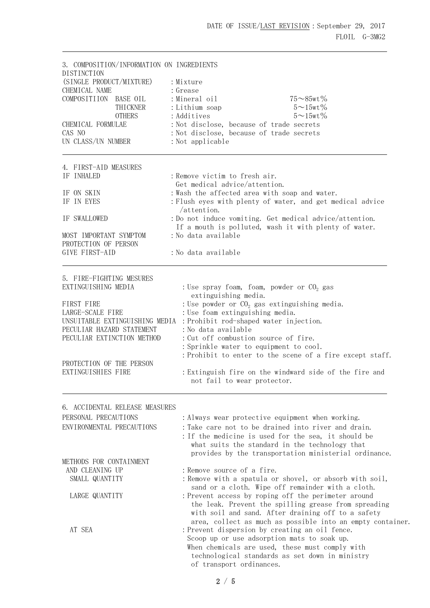3. COMPOSITION/INFORMATION ON INGREDIENTS **DISTINCTION** (SINGLE PRODUCT/MIXTURE) : Mixture CHEMICAL NAME : Grease  $COMPOSITION$  BASE OIL : Mineral oil  $75\sim85\text{wt}\%$ THICKNER : Lithium soap  $5 \sim 15$ wt%  $0$ THERS : Additives  $5 \sim 15$ wt% CHEMICAL FORMULAE :Not disclose, because of trade secrets CAS NO :Not disclose, because of trade secrets UN CLASS/UN NUMBER : Not applicable 4. FIRST-AID MEASURES IF INHALED : Remove victim to fresh air. Get medical advice/attention. IF ON SKIN : Wash the affected area with soap and water. IF IN EYES : Flush eyes with plenty of water, and get medical advice /attention. IF SWALLOWED :Do not induce vomiting. Get medical advice/attention. If a mouth is polluted, wash it with plenty of water. MOST IMPORTANT SYMPTOM : No data available PROTECTION OF PERSON GIVE FIRST-AID : No data available 5. FIRE-FIGHTING MESURES EXTINGUISHING MEDIA : Use spray foam, foam, powder or  $CO<sub>2</sub>$  gas extinguishing media. FIRST FIRE  $LARGE$  : Use powder or  $CO<sub>2</sub>$  gas extinguishing media.<br> $LARGE$ -SCALE FIRE : Use foam extinguishing media. : Use foam extinguishing media. UNSUITABLE EXTINGUISHING MEDIA : Prohibit rod-shaped water injection. PECULIAR HAZARD STATEMENT : No data available PECULIAR EXTINCTION METHOD : Cut off combustion source of fire. :Sprinkle water to equipment to cool. :Prohibit to enter to the scene of a fire except staff. PROTECTION OF THE PERSON<br>EXTINGUISHIES FIRE : Extinguish fire on the windward side of the fire and not fail to wear protector. 6. ACCIDENTAL RELEASE MEASURES PERSONAL PRECAUTIONS : Always wear protective equipment when working. ENVIRONMENTAL PRECAUTIONS : Take care not to be drained into river and drain. :If the medicine is used for the sea, it should be what suits the standard in the technology that provides by the transportation ministerial ordinance. METHODS FOR CONTAINMENT AND CLEANING UP : Remove source of a fire. SMALL QUANTITY : Remove with a spatula or shovel, or absorb with soil, sand or a cloth. Wipe off remainder with a cloth. LARGE QUANTITY : Prevent access by roping off the perimeter around the leak. Prevent the spilling grease from spreading with soil and sand. After draining off to a safety area, collect as much as possible into an empty container. AT SEA :Prevent dispersion by creating an oil fence. Scoop up or use adsorption mats to soak up. When chemicals are used, these must comply with technological standards as set down in ministry of transport ordinances.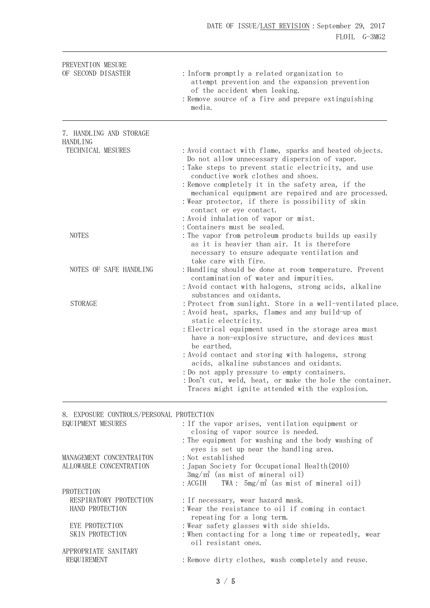| PREVENTION MESURE<br>OF SECOND DISASTER                       | : Inform promptly a related organization to<br>attempt prevention and the expansion prevention<br>of the accident when leaking.<br>: Remove source of a fire and prepare extinguishing<br>media.                                                                                                                                                                                                                                                                                                                                  |
|---------------------------------------------------------------|-----------------------------------------------------------------------------------------------------------------------------------------------------------------------------------------------------------------------------------------------------------------------------------------------------------------------------------------------------------------------------------------------------------------------------------------------------------------------------------------------------------------------------------|
| 7. HANDLING AND STORAGE                                       |                                                                                                                                                                                                                                                                                                                                                                                                                                                                                                                                   |
| <b>HANDLING</b><br>TECHNICAL MESURES                          | : Avoid contact with flame, sparks and heated objects.<br>Do not allow unnecessary dispersion of vapor.<br>: Take steps to prevent static electricity, and use<br>conductive work clothes and shoes.<br>: Remove completely it in the safety area, if the<br>mechanical equipment are repaired and are processed.<br>: Wear protector, if there is possibility of skin<br>contact or eye contact.<br>: Avoid inhalation of vapor or mist.<br>: Containers must be sealed.                                                         |
| <b>NOTES</b>                                                  | : The vapor from petroleum products builds up easily<br>as it is heavier than air. It is therefore<br>necessary to ensure adequate ventilation and<br>take care with fire.                                                                                                                                                                                                                                                                                                                                                        |
| NOTES OF SAFE HANDLING                                        | : Handling should be done at room temperature. Prevent<br>contamination of water and impurities.<br>: Avoid contact with halogens, strong acids, alkaline<br>substances and oxidants.                                                                                                                                                                                                                                                                                                                                             |
| <b>STORAGE</b>                                                | : Protect from sunlight. Store in a well-ventilated place.<br>: Avoid heat, sparks, flames and any build-up of<br>static electricity.<br>: Electrical equipment used in the storage area must<br>have a non-explosive structure, and devices must<br>be earthed.<br>: Avoid contact and storing with halogens, strong<br>acids, alkaline substances and oxidants.<br>: Do not apply pressure to empty containers.<br>: Don't cut, weld, heat, or make the hole the container.<br>Traces might ignite attended with the explosion. |
| 8. EXPOSURE CONTROLS/PERSONAL PROTECTION<br>EQUIPMENT MESURES | : If the vapor arises, ventilation equipment or<br>closing of vapor source is needed.<br>: The equipment for washing and the body washing of<br>eyes is set up near the handling area.                                                                                                                                                                                                                                                                                                                                            |
| MANAGEMENT CONCENTRAITON<br>ALLOWABLE CONCENTRATION           | : Not established<br>: Japan Society for Occupational Health(2010)<br>$3mg/m^3$ (as mist of mineral oil)<br>TWA: $5mg/m^3$ (as mist of mineral oil)<br>: ACGIH                                                                                                                                                                                                                                                                                                                                                                    |
| PROTECTION<br>RESPIRATORY PROTECTION<br>HAND PROTECTION       | : If necessary, wear hazard mask.<br>: Wear the resistance to oil if coming in contact                                                                                                                                                                                                                                                                                                                                                                                                                                            |
| EYE PROTECTION<br>SKIN PROTECTION                             | repeating for a long term.<br>: Wear safety glasses with side shields.<br>: When contacting for a long time or repeatedly, wear<br>oil resistant ones.                                                                                                                                                                                                                                                                                                                                                                            |

APPROPRIATE SANITARY REQUIREMENT : Remove dirty clothes, wash completely and reuse.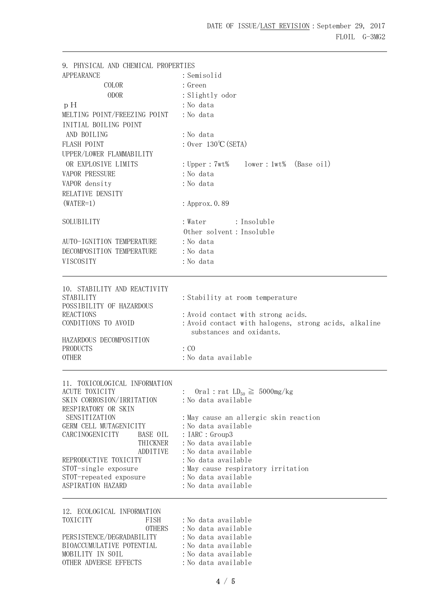| 9. PHYSICAL AND CHEMICAL PROPERTIES                |                                                             |  |
|----------------------------------------------------|-------------------------------------------------------------|--|
| <b>APPEARANCE</b>                                  | : Semisolid                                                 |  |
| COLOR                                              | $:$ Green                                                   |  |
| <b>ODOR</b>                                        | : Slightly odor                                             |  |
| pH                                                 | : No data                                                   |  |
| MELTING POINT/FREEZING POINT                       | : No data                                                   |  |
| INITIAL BOILING POINT                              |                                                             |  |
| AND BOILING                                        | : No data                                                   |  |
| FLASH POINT                                        | : $0ver$ 130°C (SETA)                                       |  |
| UPPER/LOWER FLAMMABILITY                           |                                                             |  |
| OR EXPLOSIVE LIMITS                                | $lower:1wt%$ (Base $oil$ )<br>: Upper : 7wt%                |  |
| <b>VAPOR PRESSURE</b>                              | : No data                                                   |  |
| VAPOR density                                      | : No data                                                   |  |
| RELATIVE DENSITY                                   |                                                             |  |
| $(WATER=1)$                                        | : Approx. 0.89                                              |  |
| SOLUBILITY                                         | : Insoluble<br>: Water                                      |  |
|                                                    | Other solvent: Insoluble                                    |  |
| AUTO-IGNITION TEMPERATURE                          | : No data                                                   |  |
| DECOMPOSITION TEMPERATURE                          | : No data                                                   |  |
| VISCOSITY                                          | : No data                                                   |  |
| 10. STABILITY AND REACTIVITY                       |                                                             |  |
| STABILITY                                          | : Stability at room temperature                             |  |
| POSSIBILITY OF HAZARDOUS                           |                                                             |  |
| <b>REACTIONS</b>                                   | : Avoid contact with strong acids.                          |  |
| CONDITIONS TO AVOID                                | : Avoid contact with halogens, strong acids, alkaline       |  |
|                                                    | substances and oxidants.                                    |  |
| HAZARDOUS DECOMPOSITION<br>PRODUCTS                | $\therefore$ CO                                             |  |
| <b>OTHER</b>                                       | : No data available                                         |  |
|                                                    |                                                             |  |
| 11. TOXICOLOGICAL INFORMATION                      |                                                             |  |
| <b>ACUTE TOXICITY</b><br>SKIN CORROSION/IRRITATION | Oral : rat $LD_{50} \geq 5000$ mg/kg<br>: No data available |  |
| RESPIRATORY OR SKIN                                |                                                             |  |
| SENSITIZATION                                      | : May cause an allergic skin reaction                       |  |
| GERM CELL MUTAGENICITY                             | :No data available                                          |  |
| CARCINOGENICITY<br>BASE OIL                        | : IARC : Group3                                             |  |
| THICKNER                                           | : No data available                                         |  |
| ADDITIVE                                           | :No data available                                          |  |
| REPRODUCTIVE TOXICITY<br>STOT-single exposure      | : No data available<br>: May cause respiratory irritation   |  |
| STOT-repeated exposure                             | : No data available                                         |  |
| ASPIRATION HAZARD                                  | : No data available                                         |  |
| 12. ECOLOGICAL INFORMATION                         |                                                             |  |
| TOXICITY<br>FISH                                   | : No data available                                         |  |
| <b>OTHERS</b>                                      | : No data available                                         |  |
| PERSISTENCE/DEGRADABILITY                          | : No data available                                         |  |
| BIOACCUMULATIVE POTENTIAL                          | : No data available                                         |  |

MOBILITY IN SOIL : No data available<br>
OTHER ADVERSE EFFECTS : No data available

OTHER ADVERSE EFFECTS